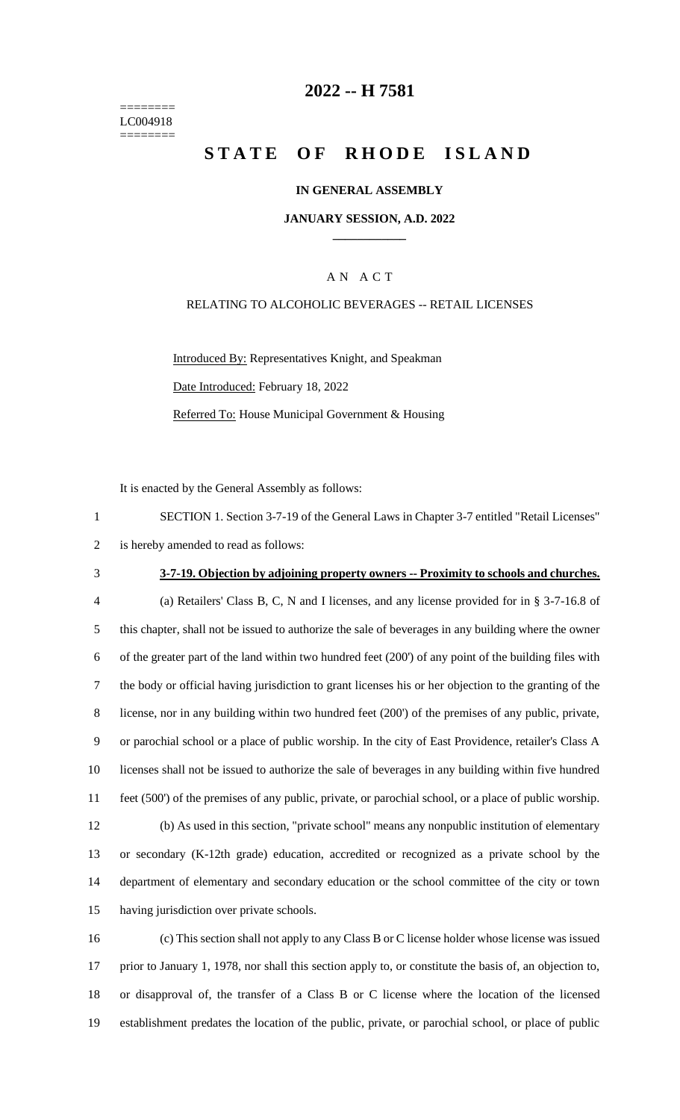======== LC004918 ========

### **-- H 7581**

# **STATE OF RHODE ISLAND**

#### **IN GENERAL ASSEMBLY**

#### **JANUARY SESSION, A.D. 2022 \_\_\_\_\_\_\_\_\_\_\_\_**

#### A N A C T

#### RELATING TO ALCOHOLIC BEVERAGES -- RETAIL LICENSES

Introduced By: Representatives Knight, and Speakman Date Introduced: February 18, 2022 Referred To: House Municipal Government & Housing

It is enacted by the General Assembly as follows:

| SECTION 1. Section 3-7-19 of the General Laws in Chapter 3-7 entitled "Retail Licenses" |
|-----------------------------------------------------------------------------------------|
| 2 is hereby amended to read as follows:                                                 |

### **3-7-19. Objection by adjoining property owners -- Proximity to schools and churches.**

 (a) Retailers' Class B, C, N and I licenses, and any license provided for in § 3-7-16.8 of this chapter, shall not be issued to authorize the sale of beverages in any building where the owner of the greater part of the land within two hundred feet (200') of any point of the building files with the body or official having jurisdiction to grant licenses his or her objection to the granting of the license, nor in any building within two hundred feet (200') of the premises of any public, private, or parochial school or a place of public worship. In the city of East Providence, retailer's Class A licenses shall not be issued to authorize the sale of beverages in any building within five hundred feet (500') of the premises of any public, private, or parochial school, or a place of public worship. (b) As used in this section, "private school" means any nonpublic institution of elementary or secondary (K-12th grade) education, accredited or recognized as a private school by the department of elementary and secondary education or the school committee of the city or town having jurisdiction over private schools.

 (c) This section shall not apply to any Class B or C license holder whose license was issued prior to January 1, 1978, nor shall this section apply to, or constitute the basis of, an objection to, or disapproval of, the transfer of a Class B or C license where the location of the licensed establishment predates the location of the public, private, or parochial school, or place of public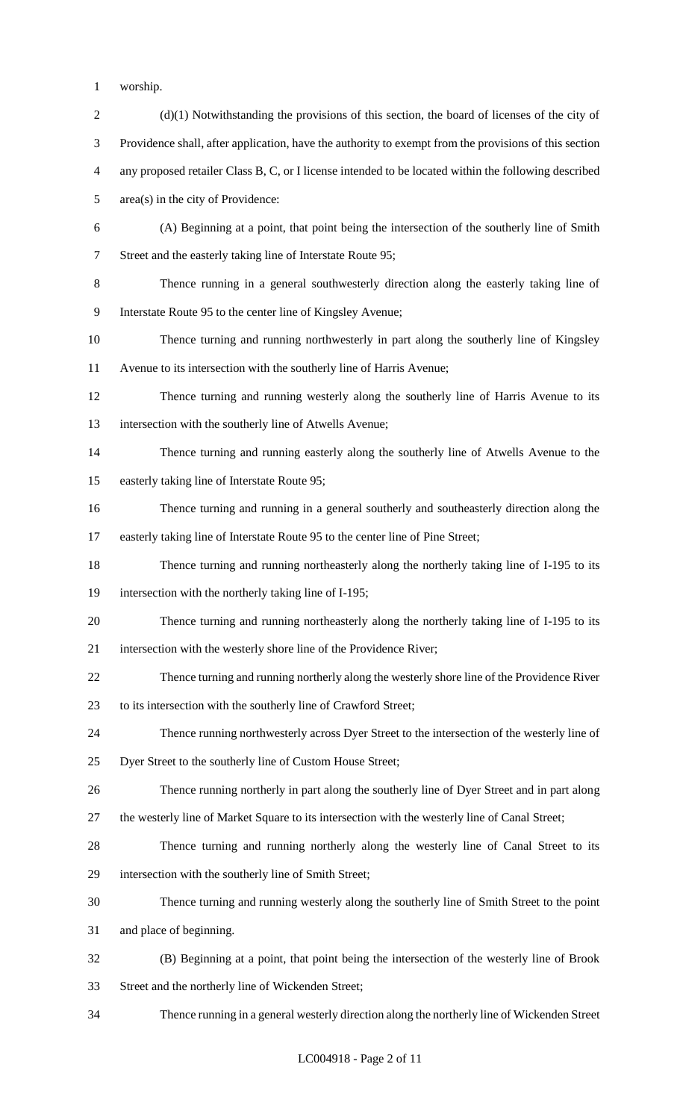- worship.
- 2 (d)(1) Notwithstanding the provisions of this section, the board of licenses of the city of Providence shall, after application, have the authority to exempt from the provisions of this section any proposed retailer Class B, C, or I license intended to be located within the following described area(s) in the city of Providence: (A) Beginning at a point, that point being the intersection of the southerly line of Smith Street and the easterly taking line of Interstate Route 95; Thence running in a general southwesterly direction along the easterly taking line of Interstate Route 95 to the center line of Kingsley Avenue; Thence turning and running northwesterly in part along the southerly line of Kingsley Avenue to its intersection with the southerly line of Harris Avenue; Thence turning and running westerly along the southerly line of Harris Avenue to its intersection with the southerly line of Atwells Avenue; Thence turning and running easterly along the southerly line of Atwells Avenue to the easterly taking line of Interstate Route 95; Thence turning and running in a general southerly and southeasterly direction along the easterly taking line of Interstate Route 95 to the center line of Pine Street; Thence turning and running northeasterly along the northerly taking line of I-195 to its intersection with the northerly taking line of I-195; Thence turning and running northeasterly along the northerly taking line of I-195 to its intersection with the westerly shore line of the Providence River; Thence turning and running northerly along the westerly shore line of the Providence River to its intersection with the southerly line of Crawford Street; Thence running northwesterly across Dyer Street to the intersection of the westerly line of Dyer Street to the southerly line of Custom House Street; Thence running northerly in part along the southerly line of Dyer Street and in part along the westerly line of Market Square to its intersection with the westerly line of Canal Street; Thence turning and running northerly along the westerly line of Canal Street to its intersection with the southerly line of Smith Street; Thence turning and running westerly along the southerly line of Smith Street to the point and place of beginning. (B) Beginning at a point, that point being the intersection of the westerly line of Brook Street and the northerly line of Wickenden Street; Thence running in a general westerly direction along the northerly line of Wickenden Street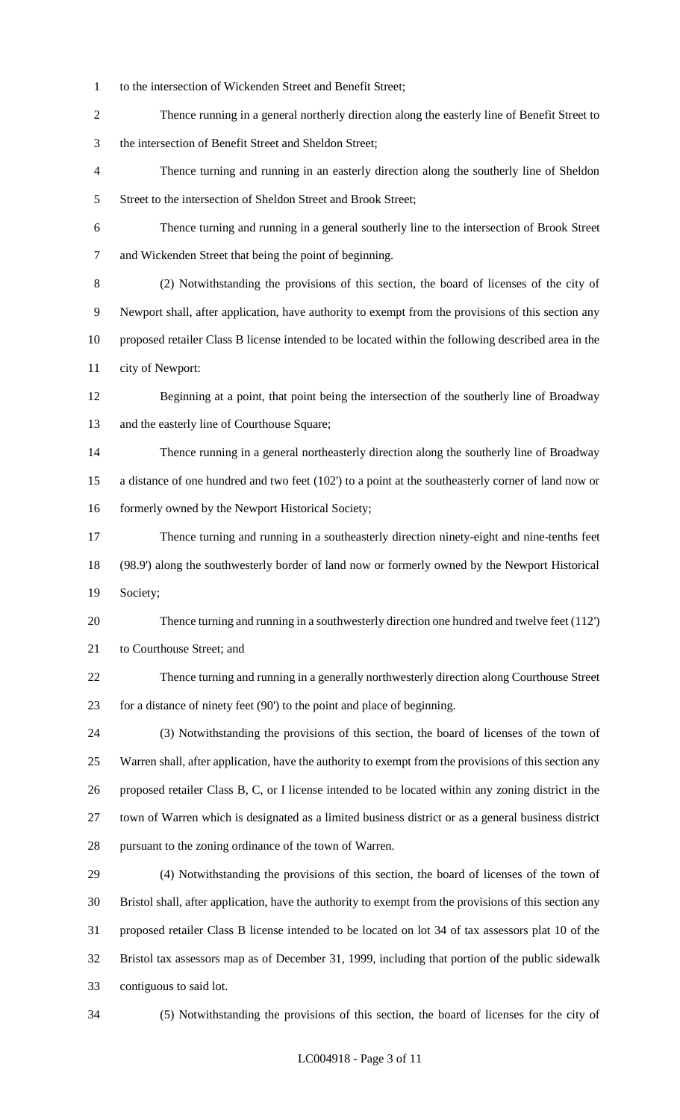- to the intersection of Wickenden Street and Benefit Street;
- Thence running in a general northerly direction along the easterly line of Benefit Street to the intersection of Benefit Street and Sheldon Street;
- Thence turning and running in an easterly direction along the southerly line of Sheldon 5 Street to the intersection of Sheldon Street and Brook Street;
- Thence turning and running in a general southerly line to the intersection of Brook Street and Wickenden Street that being the point of beginning.
- (2) Notwithstanding the provisions of this section, the board of licenses of the city of Newport shall, after application, have authority to exempt from the provisions of this section any proposed retailer Class B license intended to be located within the following described area in the city of Newport:
- Beginning at a point, that point being the intersection of the southerly line of Broadway and the easterly line of Courthouse Square;
- Thence running in a general northeasterly direction along the southerly line of Broadway a distance of one hundred and two feet (102') to a point at the southeasterly corner of land now or 16 formerly owned by the Newport Historical Society;
- Thence turning and running in a southeasterly direction ninety-eight and nine-tenths feet (98.9') along the southwesterly border of land now or formerly owned by the Newport Historical Society;
- Thence turning and running in a southwesterly direction one hundred and twelve feet (112') to Courthouse Street; and
- Thence turning and running in a generally northwesterly direction along Courthouse Street for a distance of ninety feet (90') to the point and place of beginning.
- (3) Notwithstanding the provisions of this section, the board of licenses of the town of Warren shall, after application, have the authority to exempt from the provisions of this section any proposed retailer Class B, C, or I license intended to be located within any zoning district in the town of Warren which is designated as a limited business district or as a general business district pursuant to the zoning ordinance of the town of Warren.
- (4) Notwithstanding the provisions of this section, the board of licenses of the town of Bristol shall, after application, have the authority to exempt from the provisions of this section any proposed retailer Class B license intended to be located on lot 34 of tax assessors plat 10 of the Bristol tax assessors map as of December 31, 1999, including that portion of the public sidewalk contiguous to said lot.
- 

(5) Notwithstanding the provisions of this section, the board of licenses for the city of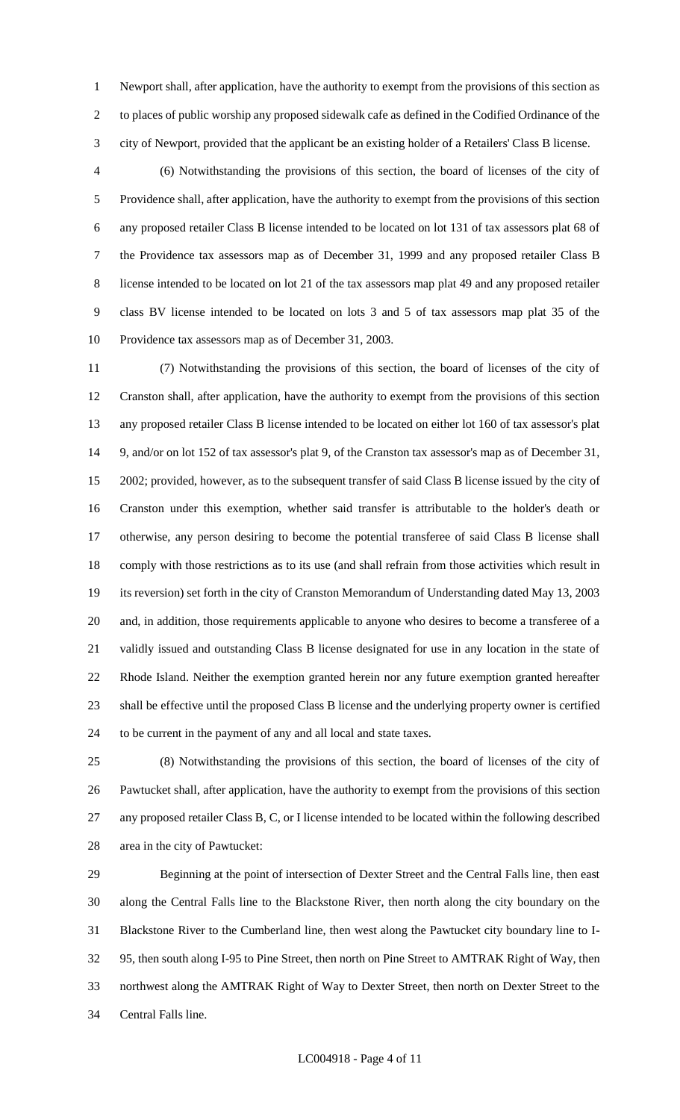Newport shall, after application, have the authority to exempt from the provisions of this section as to places of public worship any proposed sidewalk cafe as defined in the Codified Ordinance of the city of Newport, provided that the applicant be an existing holder of a Retailers' Class B license.

 (6) Notwithstanding the provisions of this section, the board of licenses of the city of Providence shall, after application, have the authority to exempt from the provisions of this section any proposed retailer Class B license intended to be located on lot 131 of tax assessors plat 68 of the Providence tax assessors map as of December 31, 1999 and any proposed retailer Class B license intended to be located on lot 21 of the tax assessors map plat 49 and any proposed retailer class BV license intended to be located on lots 3 and 5 of tax assessors map plat 35 of the Providence tax assessors map as of December 31, 2003.

 (7) Notwithstanding the provisions of this section, the board of licenses of the city of Cranston shall, after application, have the authority to exempt from the provisions of this section any proposed retailer Class B license intended to be located on either lot 160 of tax assessor's plat 9, and/or on lot 152 of tax assessor's plat 9, of the Cranston tax assessor's map as of December 31, 2002; provided, however, as to the subsequent transfer of said Class B license issued by the city of Cranston under this exemption, whether said transfer is attributable to the holder's death or otherwise, any person desiring to become the potential transferee of said Class B license shall comply with those restrictions as to its use (and shall refrain from those activities which result in its reversion) set forth in the city of Cranston Memorandum of Understanding dated May 13, 2003 and, in addition, those requirements applicable to anyone who desires to become a transferee of a validly issued and outstanding Class B license designated for use in any location in the state of Rhode Island. Neither the exemption granted herein nor any future exemption granted hereafter shall be effective until the proposed Class B license and the underlying property owner is certified to be current in the payment of any and all local and state taxes.

 (8) Notwithstanding the provisions of this section, the board of licenses of the city of Pawtucket shall, after application, have the authority to exempt from the provisions of this section any proposed retailer Class B, C, or I license intended to be located within the following described area in the city of Pawtucket:

 Beginning at the point of intersection of Dexter Street and the Central Falls line, then east along the Central Falls line to the Blackstone River, then north along the city boundary on the Blackstone River to the Cumberland line, then west along the Pawtucket city boundary line to I- 95, then south along I-95 to Pine Street, then north on Pine Street to AMTRAK Right of Way, then northwest along the AMTRAK Right of Way to Dexter Street, then north on Dexter Street to the Central Falls line.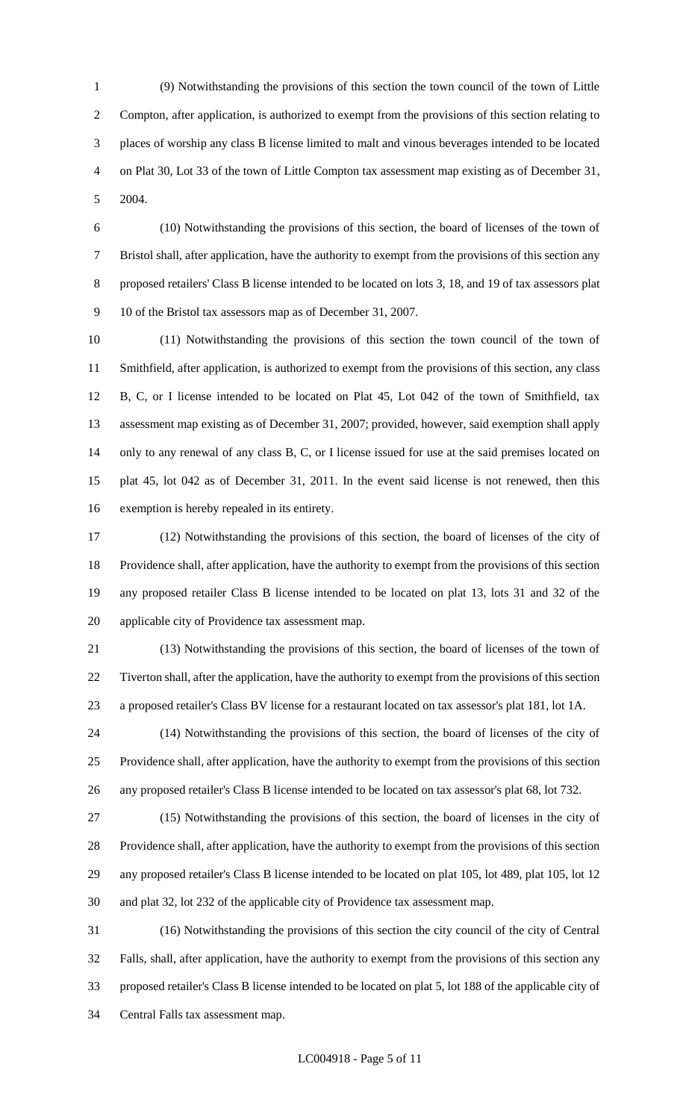(9) Notwithstanding the provisions of this section the town council of the town of Little Compton, after application, is authorized to exempt from the provisions of this section relating to places of worship any class B license limited to malt and vinous beverages intended to be located on Plat 30, Lot 33 of the town of Little Compton tax assessment map existing as of December 31, 2004.

 (10) Notwithstanding the provisions of this section, the board of licenses of the town of Bristol shall, after application, have the authority to exempt from the provisions of this section any proposed retailers' Class B license intended to be located on lots 3, 18, and 19 of tax assessors plat 10 of the Bristol tax assessors map as of December 31, 2007.

 (11) Notwithstanding the provisions of this section the town council of the town of Smithfield, after application, is authorized to exempt from the provisions of this section, any class B, C, or I license intended to be located on Plat 45, Lot 042 of the town of Smithfield, tax assessment map existing as of December 31, 2007; provided, however, said exemption shall apply only to any renewal of any class B, C, or I license issued for use at the said premises located on plat 45, lot 042 as of December 31, 2011. In the event said license is not renewed, then this exemption is hereby repealed in its entirety.

 (12) Notwithstanding the provisions of this section, the board of licenses of the city of Providence shall, after application, have the authority to exempt from the provisions of this section any proposed retailer Class B license intended to be located on plat 13, lots 31 and 32 of the applicable city of Providence tax assessment map.

 (13) Notwithstanding the provisions of this section, the board of licenses of the town of Tiverton shall, after the application, have the authority to exempt from the provisions of this section a proposed retailer's Class BV license for a restaurant located on tax assessor's plat 181, lot 1A.

 (14) Notwithstanding the provisions of this section, the board of licenses of the city of Providence shall, after application, have the authority to exempt from the provisions of this section any proposed retailer's Class B license intended to be located on tax assessor's plat 68, lot 732.

 (15) Notwithstanding the provisions of this section, the board of licenses in the city of Providence shall, after application, have the authority to exempt from the provisions of this section any proposed retailer's Class B license intended to be located on plat 105, lot 489, plat 105, lot 12 and plat 32, lot 232 of the applicable city of Providence tax assessment map.

 (16) Notwithstanding the provisions of this section the city council of the city of Central Falls, shall, after application, have the authority to exempt from the provisions of this section any proposed retailer's Class B license intended to be located on plat 5, lot 188 of the applicable city of Central Falls tax assessment map.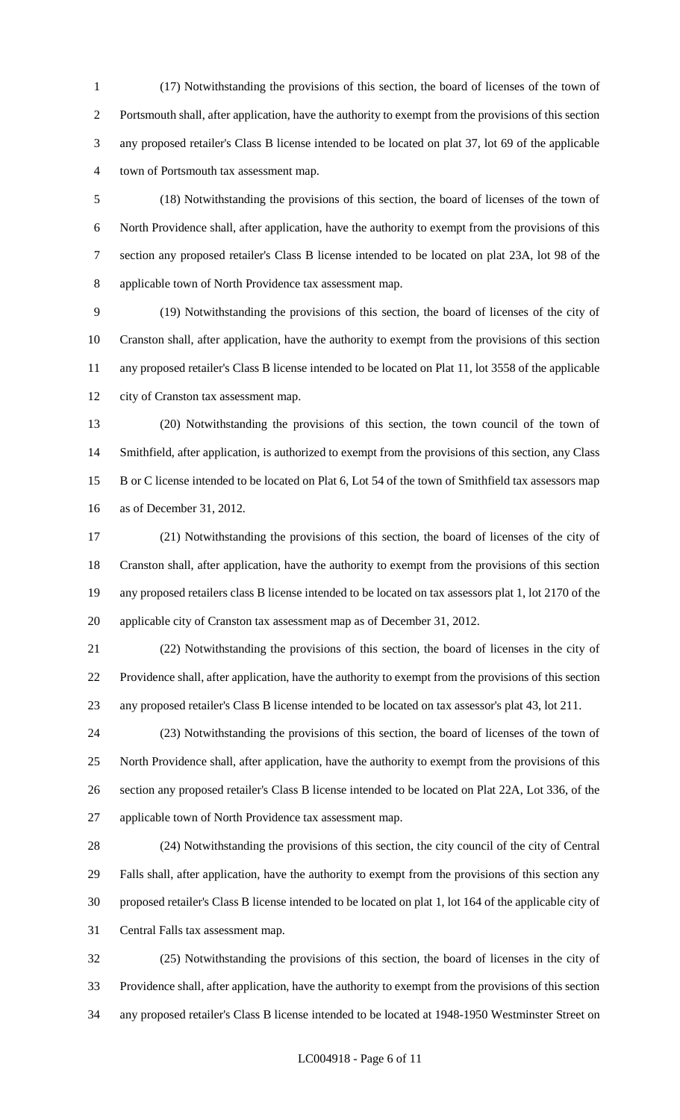(17) Notwithstanding the provisions of this section, the board of licenses of the town of Portsmouth shall, after application, have the authority to exempt from the provisions of this section any proposed retailer's Class B license intended to be located on plat 37, lot 69 of the applicable town of Portsmouth tax assessment map.

 (18) Notwithstanding the provisions of this section, the board of licenses of the town of North Providence shall, after application, have the authority to exempt from the provisions of this section any proposed retailer's Class B license intended to be located on plat 23A, lot 98 of the applicable town of North Providence tax assessment map.

 (19) Notwithstanding the provisions of this section, the board of licenses of the city of Cranston shall, after application, have the authority to exempt from the provisions of this section any proposed retailer's Class B license intended to be located on Plat 11, lot 3558 of the applicable city of Cranston tax assessment map.

 (20) Notwithstanding the provisions of this section, the town council of the town of Smithfield, after application, is authorized to exempt from the provisions of this section, any Class B or C license intended to be located on Plat 6, Lot 54 of the town of Smithfield tax assessors map as of December 31, 2012.

 (21) Notwithstanding the provisions of this section, the board of licenses of the city of Cranston shall, after application, have the authority to exempt from the provisions of this section any proposed retailers class B license intended to be located on tax assessors plat 1, lot 2170 of the applicable city of Cranston tax assessment map as of December 31, 2012.

 (22) Notwithstanding the provisions of this section, the board of licenses in the city of Providence shall, after application, have the authority to exempt from the provisions of this section any proposed retailer's Class B license intended to be located on tax assessor's plat 43, lot 211.

 (23) Notwithstanding the provisions of this section, the board of licenses of the town of North Providence shall, after application, have the authority to exempt from the provisions of this section any proposed retailer's Class B license intended to be located on Plat 22A, Lot 336, of the applicable town of North Providence tax assessment map.

 (24) Notwithstanding the provisions of this section, the city council of the city of Central Falls shall, after application, have the authority to exempt from the provisions of this section any proposed retailer's Class B license intended to be located on plat 1, lot 164 of the applicable city of Central Falls tax assessment map.

 (25) Notwithstanding the provisions of this section, the board of licenses in the city of Providence shall, after application, have the authority to exempt from the provisions of this section any proposed retailer's Class B license intended to be located at 1948-1950 Westminster Street on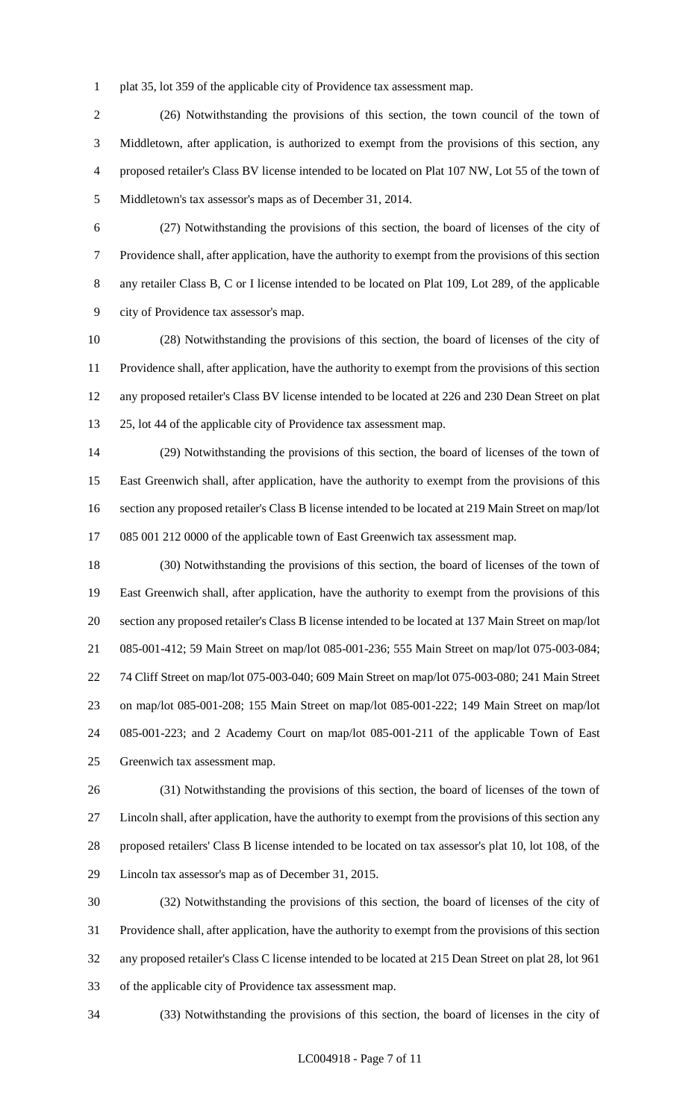plat 35, lot 359 of the applicable city of Providence tax assessment map.

 (26) Notwithstanding the provisions of this section, the town council of the town of Middletown, after application, is authorized to exempt from the provisions of this section, any proposed retailer's Class BV license intended to be located on Plat 107 NW, Lot 55 of the town of Middletown's tax assessor's maps as of December 31, 2014.

 (27) Notwithstanding the provisions of this section, the board of licenses of the city of Providence shall, after application, have the authority to exempt from the provisions of this section any retailer Class B, C or I license intended to be located on Plat 109, Lot 289, of the applicable city of Providence tax assessor's map.

 (28) Notwithstanding the provisions of this section, the board of licenses of the city of Providence shall, after application, have the authority to exempt from the provisions of this section any proposed retailer's Class BV license intended to be located at 226 and 230 Dean Street on plat 25, lot 44 of the applicable city of Providence tax assessment map.

 (29) Notwithstanding the provisions of this section, the board of licenses of the town of East Greenwich shall, after application, have the authority to exempt from the provisions of this section any proposed retailer's Class B license intended to be located at 219 Main Street on map/lot 085 001 212 0000 of the applicable town of East Greenwich tax assessment map.

 (30) Notwithstanding the provisions of this section, the board of licenses of the town of East Greenwich shall, after application, have the authority to exempt from the provisions of this section any proposed retailer's Class B license intended to be located at 137 Main Street on map/lot 085-001-412; 59 Main Street on map/lot 085-001-236; 555 Main Street on map/lot 075-003-084; 74 Cliff Street on map/lot 075-003-040; 609 Main Street on map/lot 075-003-080; 241 Main Street on map/lot 085-001-208; 155 Main Street on map/lot 085-001-222; 149 Main Street on map/lot 085-001-223; and 2 Academy Court on map/lot 085-001-211 of the applicable Town of East Greenwich tax assessment map.

 (31) Notwithstanding the provisions of this section, the board of licenses of the town of Lincoln shall, after application, have the authority to exempt from the provisions of this section any proposed retailers' Class B license intended to be located on tax assessor's plat 10, lot 108, of the Lincoln tax assessor's map as of December 31, 2015.

 (32) Notwithstanding the provisions of this section, the board of licenses of the city of Providence shall, after application, have the authority to exempt from the provisions of this section any proposed retailer's Class C license intended to be located at 215 Dean Street on plat 28, lot 961 of the applicable city of Providence tax assessment map.

(33) Notwithstanding the provisions of this section, the board of licenses in the city of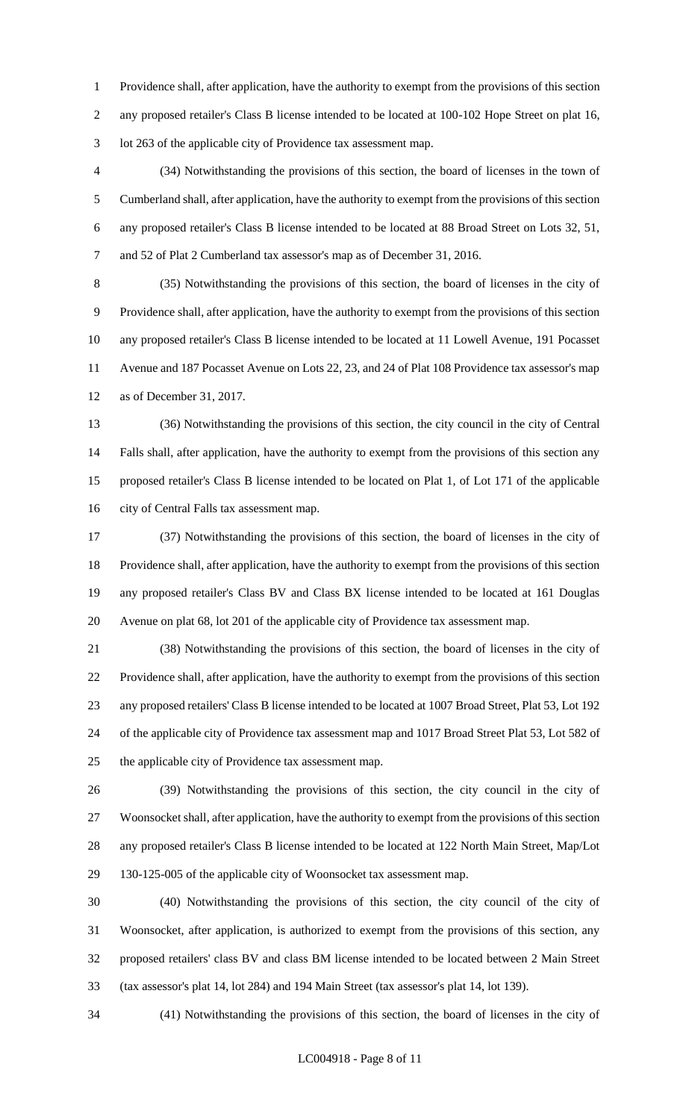Providence shall, after application, have the authority to exempt from the provisions of this section any proposed retailer's Class B license intended to be located at 100-102 Hope Street on plat 16, lot 263 of the applicable city of Providence tax assessment map.

 (34) Notwithstanding the provisions of this section, the board of licenses in the town of Cumberland shall, after application, have the authority to exempt from the provisions of this section any proposed retailer's Class B license intended to be located at 88 Broad Street on Lots 32, 51, and 52 of Plat 2 Cumberland tax assessor's map as of December 31, 2016.

 (35) Notwithstanding the provisions of this section, the board of licenses in the city of Providence shall, after application, have the authority to exempt from the provisions of this section any proposed retailer's Class B license intended to be located at 11 Lowell Avenue, 191 Pocasset Avenue and 187 Pocasset Avenue on Lots 22, 23, and 24 of Plat 108 Providence tax assessor's map as of December 31, 2017.

 (36) Notwithstanding the provisions of this section, the city council in the city of Central Falls shall, after application, have the authority to exempt from the provisions of this section any proposed retailer's Class B license intended to be located on Plat 1, of Lot 171 of the applicable city of Central Falls tax assessment map.

 (37) Notwithstanding the provisions of this section, the board of licenses in the city of Providence shall, after application, have the authority to exempt from the provisions of this section any proposed retailer's Class BV and Class BX license intended to be located at 161 Douglas Avenue on plat 68, lot 201 of the applicable city of Providence tax assessment map.

 (38) Notwithstanding the provisions of this section, the board of licenses in the city of Providence shall, after application, have the authority to exempt from the provisions of this section any proposed retailers' Class B license intended to be located at 1007 Broad Street, Plat 53, Lot 192 of the applicable city of Providence tax assessment map and 1017 Broad Street Plat 53, Lot 582 of the applicable city of Providence tax assessment map.

 (39) Notwithstanding the provisions of this section, the city council in the city of Woonsocket shall, after application, have the authority to exempt from the provisions of this section any proposed retailer's Class B license intended to be located at 122 North Main Street, Map/Lot 130-125-005 of the applicable city of Woonsocket tax assessment map.

 (40) Notwithstanding the provisions of this section, the city council of the city of Woonsocket, after application, is authorized to exempt from the provisions of this section, any proposed retailers' class BV and class BM license intended to be located between 2 Main Street (tax assessor's plat 14, lot 284) and 194 Main Street (tax assessor's plat 14, lot 139).

(41) Notwithstanding the provisions of this section, the board of licenses in the city of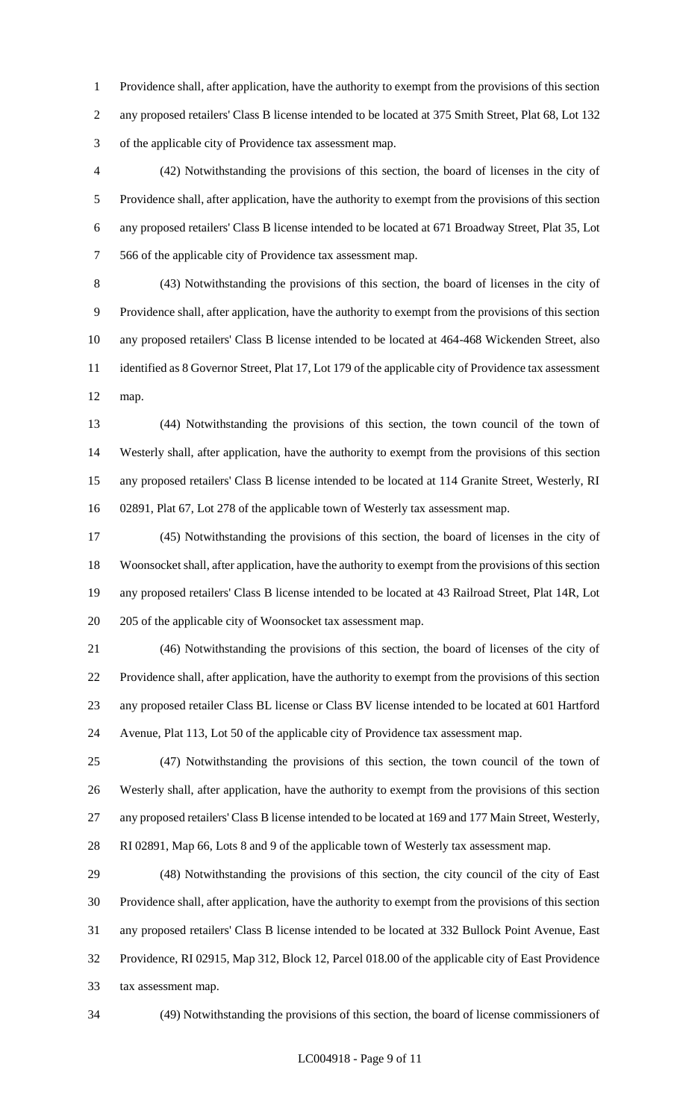Providence shall, after application, have the authority to exempt from the provisions of this section any proposed retailers' Class B license intended to be located at 375 Smith Street, Plat 68, Lot 132 of the applicable city of Providence tax assessment map.

 (42) Notwithstanding the provisions of this section, the board of licenses in the city of Providence shall, after application, have the authority to exempt from the provisions of this section any proposed retailers' Class B license intended to be located at 671 Broadway Street, Plat 35, Lot 566 of the applicable city of Providence tax assessment map.

 (43) Notwithstanding the provisions of this section, the board of licenses in the city of Providence shall, after application, have the authority to exempt from the provisions of this section any proposed retailers' Class B license intended to be located at 464-468 Wickenden Street, also identified as 8 Governor Street, Plat 17, Lot 179 of the applicable city of Providence tax assessment map.

 (44) Notwithstanding the provisions of this section, the town council of the town of Westerly shall, after application, have the authority to exempt from the provisions of this section any proposed retailers' Class B license intended to be located at 114 Granite Street, Westerly, RI 02891, Plat 67, Lot 278 of the applicable town of Westerly tax assessment map.

 (45) Notwithstanding the provisions of this section, the board of licenses in the city of Woonsocket shall, after application, have the authority to exempt from the provisions of this section any proposed retailers' Class B license intended to be located at 43 Railroad Street, Plat 14R, Lot 205 of the applicable city of Woonsocket tax assessment map.

 (46) Notwithstanding the provisions of this section, the board of licenses of the city of Providence shall, after application, have the authority to exempt from the provisions of this section any proposed retailer Class BL license or Class BV license intended to be located at 601 Hartford Avenue, Plat 113, Lot 50 of the applicable city of Providence tax assessment map.

 (47) Notwithstanding the provisions of this section, the town council of the town of Westerly shall, after application, have the authority to exempt from the provisions of this section any proposed retailers' Class B license intended to be located at 169 and 177 Main Street, Westerly, RI 02891, Map 66, Lots 8 and 9 of the applicable town of Westerly tax assessment map.

 (48) Notwithstanding the provisions of this section, the city council of the city of East Providence shall, after application, have the authority to exempt from the provisions of this section any proposed retailers' Class B license intended to be located at 332 Bullock Point Avenue, East Providence, RI 02915, Map 312, Block 12, Parcel 018.00 of the applicable city of East Providence tax assessment map.

(49) Notwithstanding the provisions of this section, the board of license commissioners of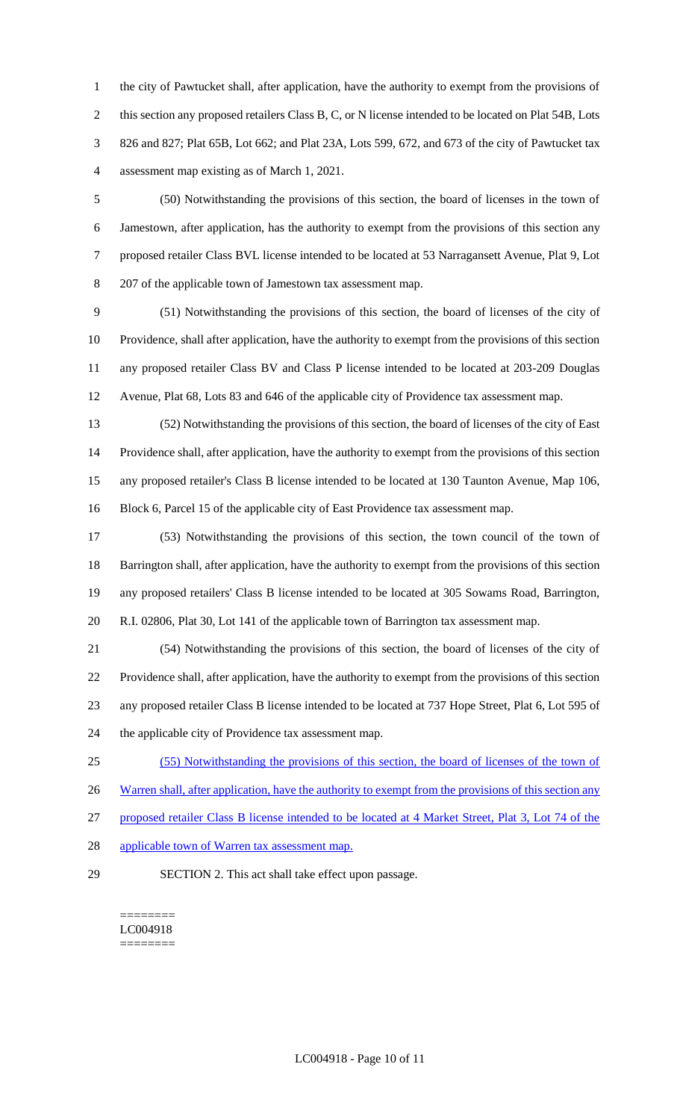the city of Pawtucket shall, after application, have the authority to exempt from the provisions of 2 this section any proposed retailers Class B, C, or N license intended to be located on Plat 54B, Lots 826 and 827; Plat 65B, Lot 662; and Plat 23A, Lots 599, 672, and 673 of the city of Pawtucket tax assessment map existing as of March 1, 2021.

 (50) Notwithstanding the provisions of this section, the board of licenses in the town of Jamestown, after application, has the authority to exempt from the provisions of this section any proposed retailer Class BVL license intended to be located at 53 Narragansett Avenue, Plat 9, Lot 207 of the applicable town of Jamestown tax assessment map.

 (51) Notwithstanding the provisions of this section, the board of licenses of the city of Providence, shall after application, have the authority to exempt from the provisions of this section any proposed retailer Class BV and Class P license intended to be located at 203-209 Douglas Avenue, Plat 68, Lots 83 and 646 of the applicable city of Providence tax assessment map.

 (52) Notwithstanding the provisions of this section, the board of licenses of the city of East Providence shall, after application, have the authority to exempt from the provisions of this section any proposed retailer's Class B license intended to be located at 130 Taunton Avenue, Map 106, Block 6, Parcel 15 of the applicable city of East Providence tax assessment map.

 (53) Notwithstanding the provisions of this section, the town council of the town of Barrington shall, after application, have the authority to exempt from the provisions of this section any proposed retailers' Class B license intended to be located at 305 Sowams Road, Barrington, R.I. 02806, Plat 30, Lot 141 of the applicable town of Barrington tax assessment map.

 (54) Notwithstanding the provisions of this section, the board of licenses of the city of Providence shall, after application, have the authority to exempt from the provisions of this section any proposed retailer Class B license intended to be located at 737 Hope Street, Plat 6, Lot 595 of the applicable city of Providence tax assessment map.

(55) Notwithstanding the provisions of this section, the board of licenses of the town of

26 Warren shall, after application, have the authority to exempt from the provisions of this section any

proposed retailer Class B license intended to be located at 4 Market Street, Plat 3, Lot 74 of the

- 28 applicable town of Warren tax assessment map.
- 

SECTION 2. This act shall take effect upon passage.

======== LC004918 ========